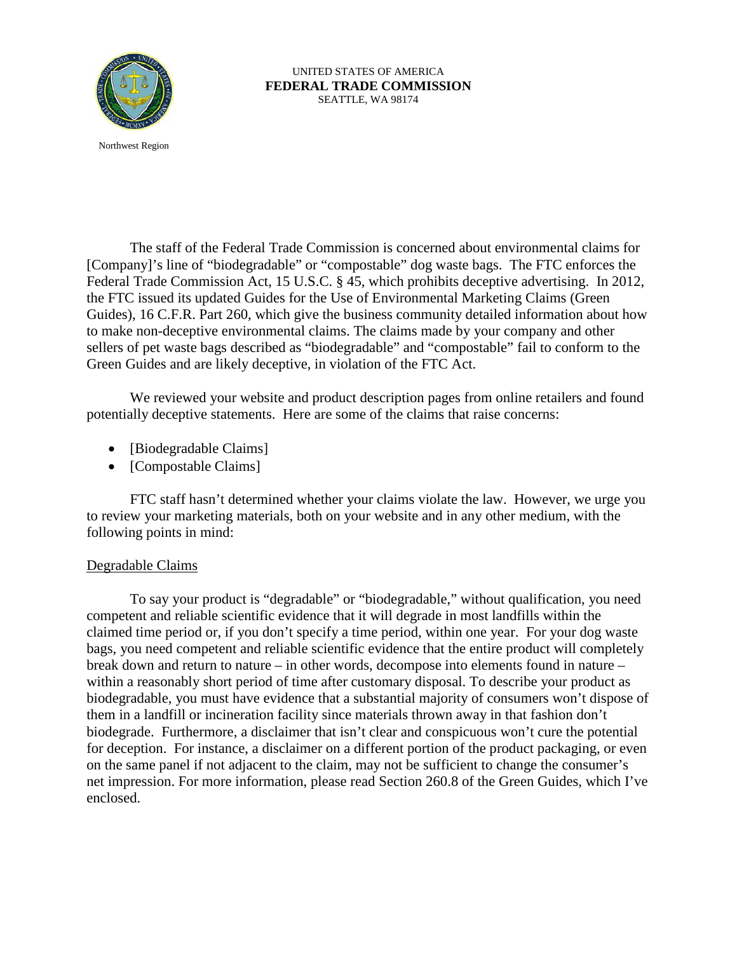

UNITED STATES OF AMERICA **FEDERAL TRADE COMMISSION** SEATTLE, WA 98174

Northwest Region

The staff of the Federal Trade Commission is concerned about environmental claims for [Company]'s line of "biodegradable" or "compostable" dog waste bags. The FTC enforces the Federal Trade Commission Act, 15 U.S.C. § 45, which prohibits deceptive advertising. In 2012, the FTC issued its updated Guides for the Use of Environmental Marketing Claims (Green Guides), 16 C.F.R. Part 260, which give the business community detailed information about how to make non-deceptive environmental claims. The claims made by your company and other sellers of pet waste bags described as "biodegradable" and "compostable" fail to conform to the Green Guides and are likely deceptive, in violation of the FTC Act.

We reviewed your website and product description pages from online retailers and found potentially deceptive statements. Here are some of the claims that raise concerns:

- [Biodegradable Claims]
- [Compostable Claims]

FTC staff hasn't determined whether your claims violate the law. However, we urge you to review your marketing materials, both on your website and in any other medium, with the following points in mind:

## Degradable Claims

To say your product is "degradable" or "biodegradable," without qualification, you need competent and reliable scientific evidence that it will degrade in most landfills within the claimed time period or, if you don't specify a time period, within one year. For your dog waste bags, you need competent and reliable scientific evidence that the entire product will completely break down and return to nature – in other words, decompose into elements found in nature – within a reasonably short period of time after customary disposal. To describe your product as biodegradable, you must have evidence that a substantial majority of consumers won't dispose of them in a landfill or incineration facility since materials thrown away in that fashion don't biodegrade. Furthermore, a disclaimer that isn't clear and conspicuous won't cure the potential for deception. For instance, a disclaimer on a different portion of the product packaging, or even on the same panel if not adjacent to the claim, may not be sufficient to change the consumer's net impression. For more information, please read Section 260.8 of the Green Guides, which I've enclosed.